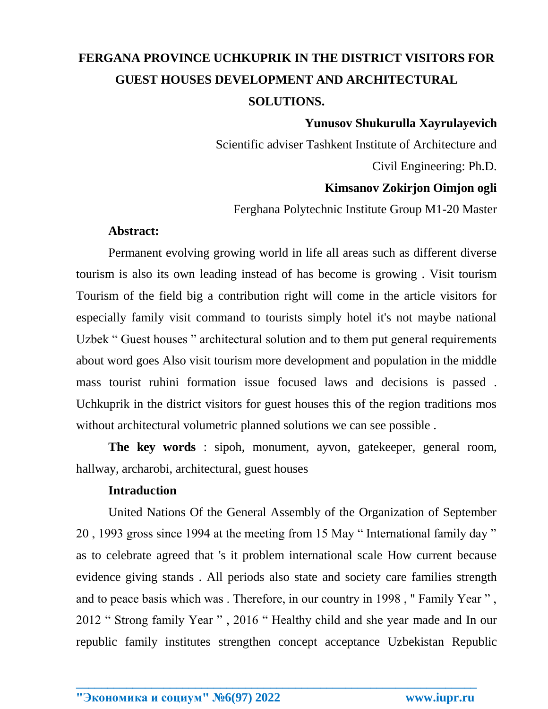# **FERGANA PROVINCE UCHKUPRIK IN THE DISTRICT VISITORS FOR GUEST HOUSES DEVELOPMENT AND ARCHITECTURAL SOLUTIONS.**

## **Yunusov Shukurulla Xayrulayevich**

Scientific adviser Tashkent Institute of Architecture and

Civil Engineering: Ph.D.

# **Kimsanov Zokirjon Oimjon ogli**

Ferghana Polytechnic Institute Group M1-20 Master

## **Abstract:**

Permanent evolving growing world in life all areas such as different diverse tourism is also its own leading instead of has become is growing . Visit tourism Tourism of the field big a contribution right will come in the article visitors for especially family visit command to tourists simply hotel it's not maybe national Uzbek " Guest houses " architectural solution and to them put general requirements about word goes Also visit tourism more development and population in the middle mass tourist ruhini formation issue focused laws and decisions is passed . Uchkuprik in the district visitors for guest houses this of the region traditions mos without architectural volumetric planned solutions we can see possible .

**The key words** : sipoh, monument, ayvon, gatekeeper, general room, hallway, archarobi, architectural, guest houses

## **Intraduction**

United Nations Of the General Assembly of the Organization of September 20 , 1993 gross since 1994 at the meeting from 15 May " International family day " as to celebrate agreed that 's it problem international scale How current because evidence giving stands . All periods also state and society care families strength and to peace basis which was . Therefore, in our country in 1998 , " Family Year " , 2012 " Strong family Year " , 2016 " Healthy child and she year made and In our republic family institutes strengthen concept acceptance Uzbekistan Republic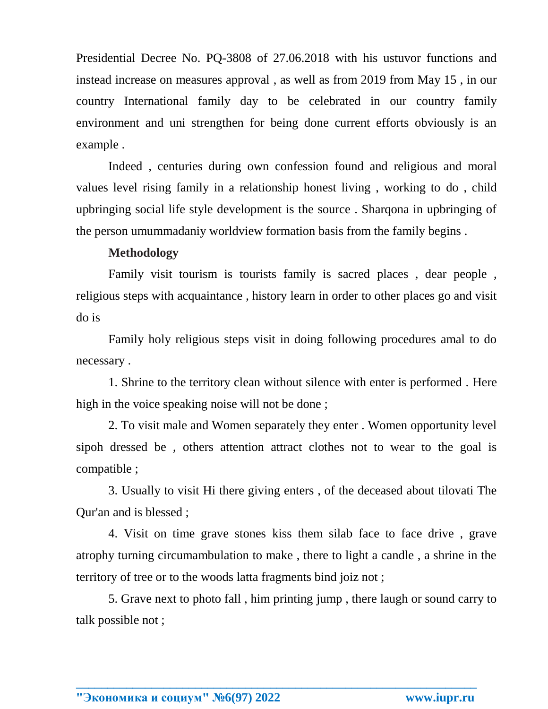Presidential Decree No. PQ-3808 of 27.06.2018 with his ustuvor functions and instead increase on measures approval , as well as from 2019 from May 15 , in our country International family day to be celebrated in our country family environment and uni strengthen for being done current efforts obviously is an example .

Indeed , centuries during own confession found and religious and moral values level rising family in a relationship honest living , working to do , child upbringing social life style development is the source . Sharqona in upbringing of the person umummadaniy worldview formation basis from the family begins .

# **Methodology**

Family visit tourism is tourists family is sacred places , dear people , religious steps with acquaintance , history learn in order to other places go and visit do is

Family holy religious steps visit in doing following procedures amal to do necessary .

1. Shrine to the territory clean without silence with enter is performed . Here high in the voice speaking noise will not be done;

2. To visit male and Women separately they enter . Women opportunity level sipoh dressed be , others attention attract clothes not to wear to the goal is compatible ;

3. Usually to visit Hi there giving enters , of the deceased about tilovati The Qur'an and is blessed ;

4. Visit on time grave stones kiss them silab face to face drive , grave atrophy turning circumambulation to make , there to light a candle , a shrine in the territory of tree or to the woods latta fragments bind joiz not ;

5. Grave next to photo fall , him printing jump , there laugh or sound carry to talk possible not ;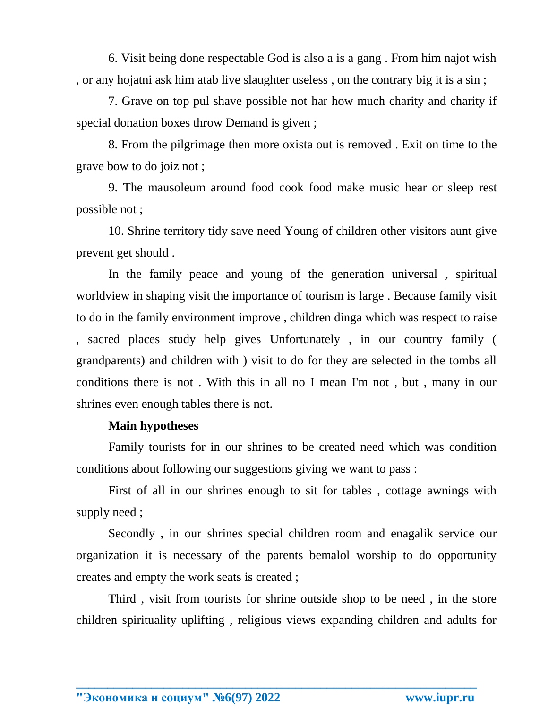6. Visit being done respectable God is also a is a gang . From him najot wish , or any hojatni ask him atab live slaughter useless , on the contrary big it is a sin ;

7. Grave on top pul shave possible not har how much charity and charity if special donation boxes throw Demand is given ;

8. From the pilgrimage then more oxista out is removed . Exit on time to the grave bow to do joiz not ;

9. The mausoleum around food cook food make music hear or sleep rest possible not ;

10. Shrine territory tidy save need Young of children other visitors aunt give prevent get should .

In the family peace and young of the generation universal , spiritual worldview in shaping visit the importance of tourism is large . Because family visit to do in the family environment improve , children dinga which was respect to raise , sacred places study help gives Unfortunately , in our country family ( grandparents) and children with ) visit to do for they are selected in the tombs all conditions there is not . With this in all no I mean I'm not , but , many in our shrines even enough tables there is not.

#### **Main hypotheses**

Family tourists for in our shrines to be created need which was condition conditions about following our suggestions giving we want to pass :

First of all in our shrines enough to sit for tables , cottage awnings with supply need ;

Secondly , in our shrines special children room and enagalik service our organization it is necessary of the parents bemalol worship to do opportunity creates and empty the work seats is created ;

Third , visit from tourists for shrine outside shop to be need , in the store children spirituality uplifting , religious views expanding children and adults for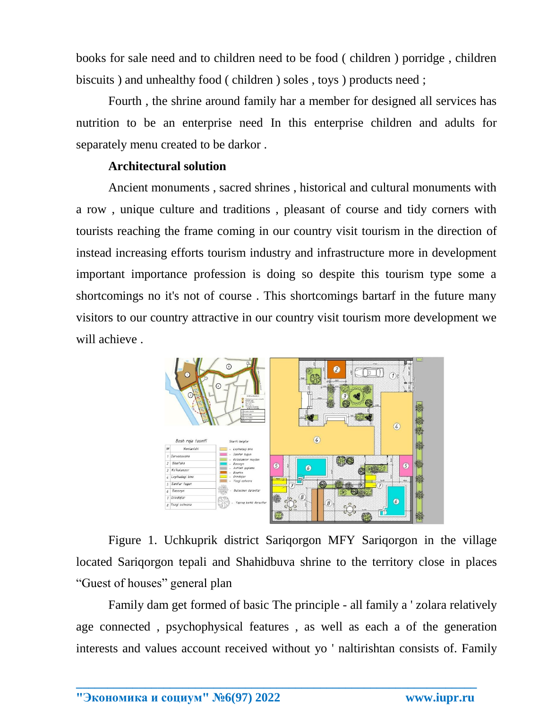books for sale need and to children need to be food ( children ) porridge , children biscuits ) and unhealthy food ( children ) soles , toys ) products need ;

Fourth , the shrine around family har a member for designed all services has nutrition to be an enterprise need In this enterprise children and adults for separately menu created to be darkor .

## **Architectural solution**

Ancient monuments , sacred shrines , historical and cultural monuments with a row , unique culture and traditions , pleasant of course and tidy corners with tourists reaching the frame coming in our country visit tourism in the direction of instead increasing efforts tourism industry and infrastructure more in development important importance profession is doing so despite this tourism type some a shortcomings no it's not of course . This shortcomings bartarf in the future many visitors to our country attractive in our country visit tourism more development we will achieve .



Figure 1. Uchkuprik district Sariqorgon MFY Sariqorgon in the village located Sariqorgon tepali and Shahidbuva shrine to the territory close in places "Guest of houses" general plan

Family dam get formed of basic The principle - all family a ' zolara relatively age connected , psychophysical features , as well as each a of the generation interests and values account received without yo ' naltirishtan consists of. Family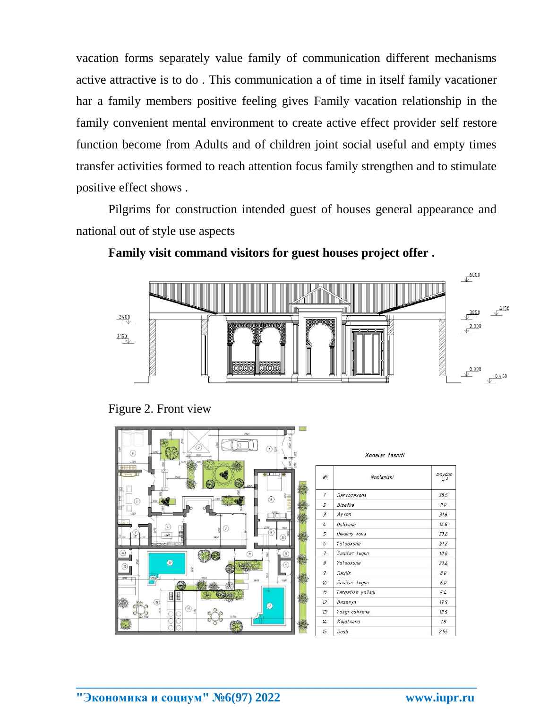vacation forms separately value family of communication different mechanisms active attractive is to do . This communication a of time in itself family vacationer har a family members positive feeling gives Family vacation relationship in the family convenient mental environment to create active effect provider self restore function become from Adults and of children joint social useful and empty times transfer activities formed to reach attention focus family strengthen and to stimulate positive effect shows .

Pilgrims for construction intended guest of houses general appearance and national out of style use aspects



**Family visit command visitors for guest houses project offer .**

Figure 2. Front view

| 9745<br>$\overline{z}$<br>$\left( r\right)$<br>30<br>$\left( \delta \right)$<br>1200<br>3500<br><b>SUNO ENGINEERING</b><br>$-900$ |                  | Xonalar tasnifi   |                          |
|-----------------------------------------------------------------------------------------------------------------------------------|------------------|-------------------|--------------------------|
| <b>THE</b><br>2550<br>壽                                                                                                           | $N^2$            | Nomlanishi        | maydon<br>M <sup>2</sup> |
| $\binom{6}{ }$                                                                                                                    | $\mathcal{I}$    | Darvozaxona       | 38.5                     |
| G                                                                                                                                 | $\overline{c}$   | Bisetka           | 9.0                      |
|                                                                                                                                   | $\overline{3}$   | Ayvon             | 31.6                     |
| $^{(4)}$<br>$\left( \begin{smallmatrix} 3 \end{smallmatrix} \right)$                                                              | 4                | Oshxona           | 16.8                     |
| $\overline{g}$<br>詞<br>4200<br>7900<br>$70^{\circ}$                                                                               | 5                | Umumiy xona       | 27.6                     |
| >                                                                                                                                 | 6                | Yotogxana         | 21.2                     |
| $(\kappa)$<br>$\circled{H}$<br>605<br>$\left( n\right)$                                                                           | $\overline{f}$   | Sanitar tugun     | 10.0                     |
| Ø<br>$\overline{\mathcal{B}}$ p<br>(5)                                                                                            | 8                | Yotogxona         | 27.6                     |
| 450                                                                                                                               | 9                | Daxliz            | 8.0                      |
| <b>Asset</b><br>$1870 +$<br>1800<br>5695                                                                                          | 10 <sup>10</sup> | Sanitar tugun     | 6.0                      |
| 卧<br>E                                                                                                                            | 11               | Targatish yo'lagi | 5.4                      |
| $\circledR$<br>2                                                                                                                  | 12               | Basseyn           | 17.5                     |
| $\textcircled{\scriptsize{B}}$<br>5450                                                                                            | 13               | Yozgi oshxona     | 13.5                     |
| 15 201                                                                                                                            | 14               | Xojatxona         | $18$                     |
|                                                                                                                                   | 15               | Dush              | 2.55                     |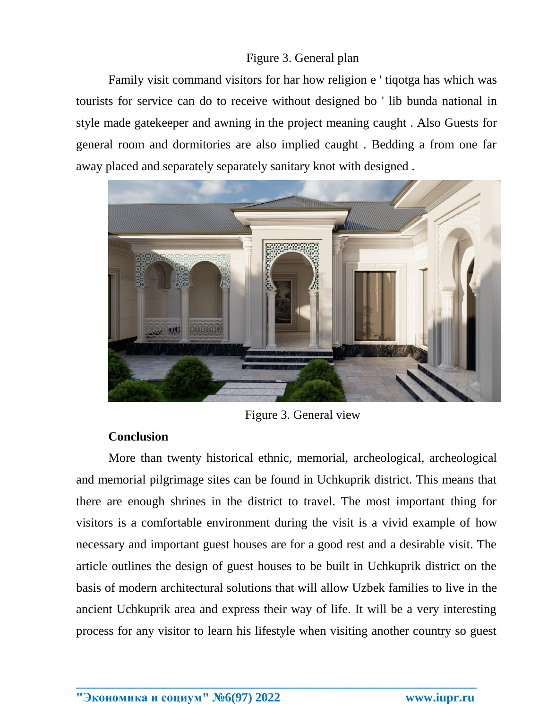## Figure 3. General plan

Family visit command visitors for har how religion e ' tiqotga has which was tourists for service can do to receive without designed bo ' lib bunda national in style made gatekeeper and awning in the project meaning caught . Also Guests for general room and dormitories are also implied caught . Bedding a from one far away placed and separately separately sanitary knot with designed .



Figure 3. General view

## **Conclusion**

More than twenty historical ethnic, memorial, archeological, archeological and memorial pilgrimage sites can be found in Uchkuprik district. This means that there are enough shrines in the district to travel. The most important thing for visitors is a comfortable environment during the visit is a vivid example of how necessary and important guest houses are for a good rest and a desirable visit. The article outlines the design of guest houses to be built in Uchkuprik district on the basis of modern architectural solutions that will allow Uzbek families to live in the ancient Uchkuprik area and express their way of life. It will be a very interesting process for any visitor to learn his lifestyle when visiting another country so guest